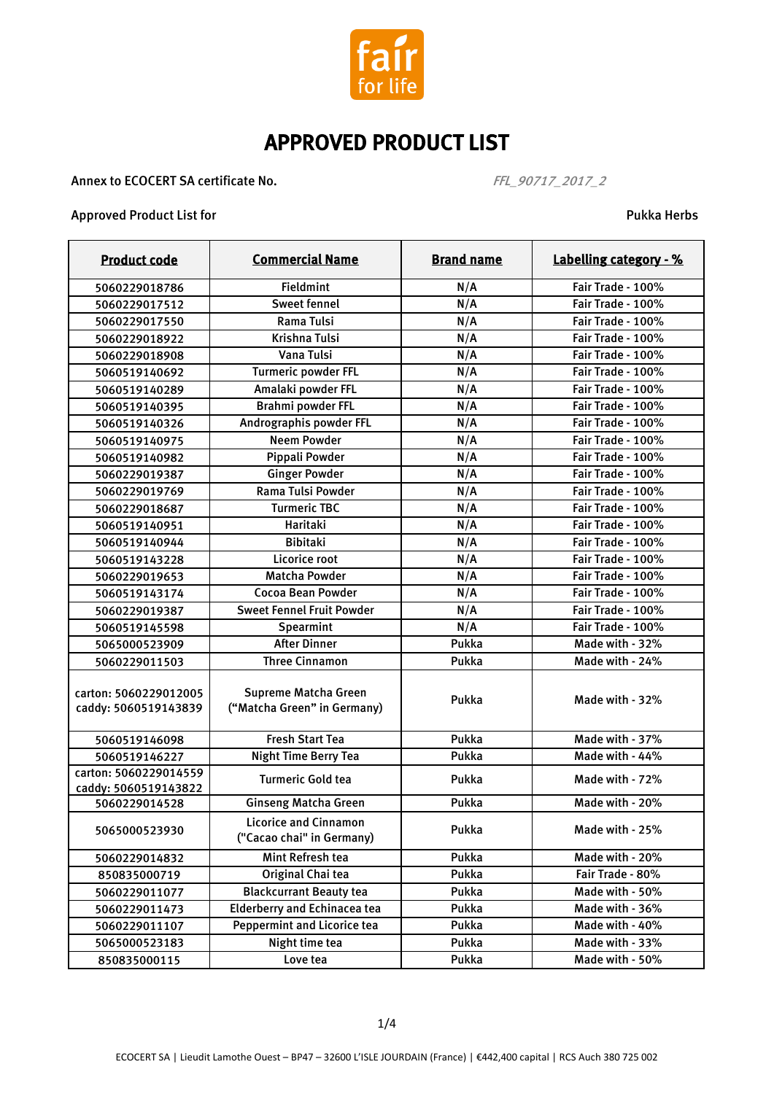

Annex to ECOCERT SA certificate No.  $FFL\_90717\_2017\_2$ 

#### Approved Product List for Pukka Herbs

| <b>Product code</b>                           | <b>Commercial Name</b>                                    | <b>Brand name</b> | Labelling category - % |
|-----------------------------------------------|-----------------------------------------------------------|-------------------|------------------------|
| 5060229018786                                 | <b>Fieldmint</b>                                          | N/A               | Fair Trade - 100%      |
| 5060229017512                                 | <b>Sweet fennel</b>                                       | N/A               | Fair Trade - 100%      |
| 5060229017550                                 | Rama Tulsi                                                | N/A               | Fair Trade - 100%      |
| 5060229018922                                 | <b>Krishna Tulsi</b>                                      | N/A               | Fair Trade - 100%      |
| 5060229018908                                 | Vana Tulsi                                                | N/A               | Fair Trade - 100%      |
| 5060519140692                                 | <b>Turmeric powder FFL</b>                                | N/A               | Fair Trade - 100%      |
| 5060519140289                                 | Amalaki powder FFL                                        | N/A               | Fair Trade - 100%      |
| 5060519140395                                 | Brahmi powder FFL                                         | N/A               | Fair Trade - 100%      |
| 5060519140326                                 | Andrographis powder FFL                                   | N/A               | Fair Trade - 100%      |
| 5060519140975                                 | <b>Neem Powder</b>                                        | N/A               | Fair Trade - 100%      |
| 5060519140982                                 | Pippali Powder                                            | N/A               | Fair Trade - 100%      |
| 5060229019387                                 | <b>Ginger Powder</b>                                      | N/A               | Fair Trade - 100%      |
| 5060229019769                                 | Rama Tulsi Powder                                         | N/A               | Fair Trade - 100%      |
| 5060229018687                                 | <b>Turmeric TBC</b>                                       | N/A               | Fair Trade - 100%      |
| 5060519140951                                 | Haritaki                                                  | N/A               | Fair Trade - 100%      |
| 5060519140944                                 | <b>Bibitaki</b>                                           | N/A               | Fair Trade - 100%      |
| 5060519143228                                 | Licorice root                                             | N/A               | Fair Trade - 100%      |
| 5060229019653                                 | <b>Matcha Powder</b>                                      | N/A               | Fair Trade - 100%      |
| 5060519143174                                 | Cocoa Bean Powder                                         | N/A               | Fair Trade - 100%      |
| 5060229019387                                 | <b>Sweet Fennel Fruit Powder</b>                          | N/A               | Fair Trade - 100%      |
| 5060519145598                                 | Spearmint                                                 | N/A               | Fair Trade - 100%      |
| 5065000523909                                 | <b>After Dinner</b>                                       | Pukka             | Made with - 32%        |
| 5060229011503                                 | <b>Three Cinnamon</b>                                     | Pukka             | Made with - 24%        |
| carton: 5060229012005<br>caddy: 5060519143839 | Supreme Matcha Green<br>("Matcha Green" in Germany)       | Pukka             | Made with - 32%        |
| 5060519146098                                 | <b>Fresh Start Tea</b>                                    | Pukka             | Made with - 37%        |
| 5060519146227                                 | <b>Night Time Berry Tea</b>                               | Pukka             | Made with - 44%        |
| carton: 5060229014559<br>caddy: 5060519143822 | <b>Turmeric Gold tea</b>                                  | Pukka             | Made with - 72%        |
| 5060229014528                                 | <b>Ginseng Matcha Green</b>                               | Pukka             | Made with - 20%        |
| 5065000523930                                 | <b>Licorice and Cinnamon</b><br>("Cacao chai" in Germany) | Pukka             | Made with - 25%        |
| 5060229014832                                 | Mint Refresh tea                                          | Pukka             | Made with - 20%        |
| 850835000719                                  | Original Chai tea                                         | Pukka             | Fair Trade - 80%       |
| 5060229011077                                 | <b>Blackcurrant Beauty tea</b>                            | Pukka             | Made with - 50%        |
| 5060229011473                                 | <b>Elderberry and Echinacea tea</b>                       | Pukka             | Made with - 36%        |
| 5060229011107                                 | Peppermint and Licorice tea                               | Pukka             | Made with - 40%        |
| 5065000523183                                 | Night time tea                                            | Pukka             | Made with - 33%        |
| 850835000115                                  | Love tea                                                  | Pukka             | Made with - 50%        |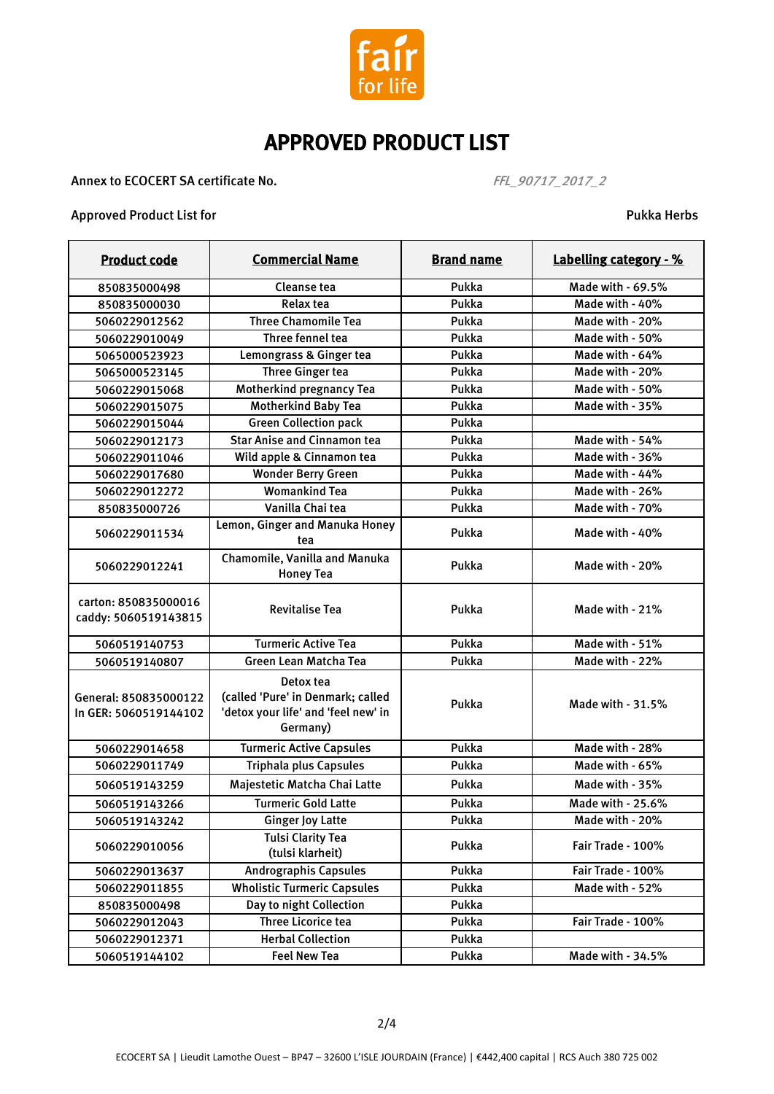

Annex to ECOCERT SA certificate No.  $FFL\_90717\_2017\_2$ 

#### Approved Product List for **Pukka Herbs** Approved Product List for

| <b>Product code</b>                            | <b>Commercial Name</b>                                                                            | <b>Brand name</b> | Labelling category - % |
|------------------------------------------------|---------------------------------------------------------------------------------------------------|-------------------|------------------------|
| 850835000498                                   | Cleanse tea                                                                                       | Pukka             | Made with - 69.5%      |
| 850835000030                                   | <b>Relax tea</b>                                                                                  | Pukka             | Made with - 40%        |
| 5060229012562                                  | <b>Three Chamomile Tea</b>                                                                        | Pukka             | Made with - 20%        |
| 5060229010049                                  | Three fennel tea                                                                                  | Pukka             | Made with - 50%        |
| 5065000523923                                  | Lemongrass & Ginger tea                                                                           | Pukka             | Made with - 64%        |
| 5065000523145                                  | <b>Three Ginger tea</b>                                                                           | Pukka             | Made with - 20%        |
| 5060229015068                                  | Motherkind pregnancy Tea                                                                          | Pukka             | Made with - 50%        |
| 5060229015075                                  | <b>Motherkind Baby Tea</b>                                                                        | Pukka             | Made with - 35%        |
| 5060229015044                                  | <b>Green Collection pack</b>                                                                      | Pukka             |                        |
| 5060229012173                                  | <b>Star Anise and Cinnamon tea</b>                                                                | Pukka             | Made with - 54%        |
| 5060229011046                                  | Wild apple & Cinnamon tea                                                                         | Pukka             | Made with - 36%        |
| 5060229017680                                  | <b>Wonder Berry Green</b>                                                                         | Pukka             | Made with - 44%        |
| 5060229012272                                  | <b>Womankind Tea</b>                                                                              | Pukka             | Made with - 26%        |
| 850835000726                                   | Vanilla Chai tea                                                                                  | Pukka             | Made with - 70%        |
| 5060229011534                                  | Lemon, Ginger and Manuka Honey<br>tea                                                             | Pukka             | Made with - 40%        |
| 5060229012241                                  | Chamomile, Vanilla and Manuka<br><b>Honey Tea</b>                                                 | Pukka             | Made with - 20%        |
| carton: 850835000016<br>caddy: 5060519143815   | <b>Revitalise Tea</b>                                                                             | Pukka             | Made with - 21%        |
| 5060519140753                                  | <b>Turmeric Active Tea</b>                                                                        | Pukka             | Made with - 51%        |
| 5060519140807                                  | Green Lean Matcha Tea                                                                             | Pukka             | Made with - 22%        |
| General: 850835000122<br>In GER: 5060519144102 | Detox tea<br>(called 'Pure' in Denmark; called<br>'detox your life' and 'feel new' in<br>Germany) | Pukka             | Made with - 31.5%      |
| 5060229014658                                  | <b>Turmeric Active Capsules</b>                                                                   | Pukka             | Made with - 28%        |
| 5060229011749                                  | <b>Triphala plus Capsules</b>                                                                     | Pukka             | Made with - 65%        |
| 5060519143259                                  | Majestetic Matcha Chai Latte                                                                      | Pukka             | Made with - 35%        |
| 5060519143266                                  | <b>Turmeric Gold Latte</b>                                                                        | Pukka             | Made with - 25.6%      |
| 5060519143242                                  | <b>Ginger Joy Latte</b>                                                                           | Pukka             | Made with - 20%        |
| 5060229010056                                  | <b>Tulsi Clarity Tea</b><br>(tulsi klarheit)                                                      | Pukka             | Fair Trade - 100%      |
| 5060229013637                                  | <b>Andrographis Capsules</b>                                                                      | Pukka             | Fair Trade - 100%      |
| 5060229011855                                  | <b>Wholistic Turmeric Capsules</b>                                                                | Pukka             | Made with - 52%        |
| 850835000498                                   | Day to night Collection                                                                           | Pukka             |                        |
| 5060229012043                                  | <b>Three Licorice tea</b>                                                                         | Pukka             | Fair Trade - 100%      |
| 5060229012371                                  | <b>Herbal Collection</b>                                                                          | Pukka             |                        |
| 5060519144102                                  | <b>Feel New Tea</b>                                                                               | Pukka             | Made with - 34.5%      |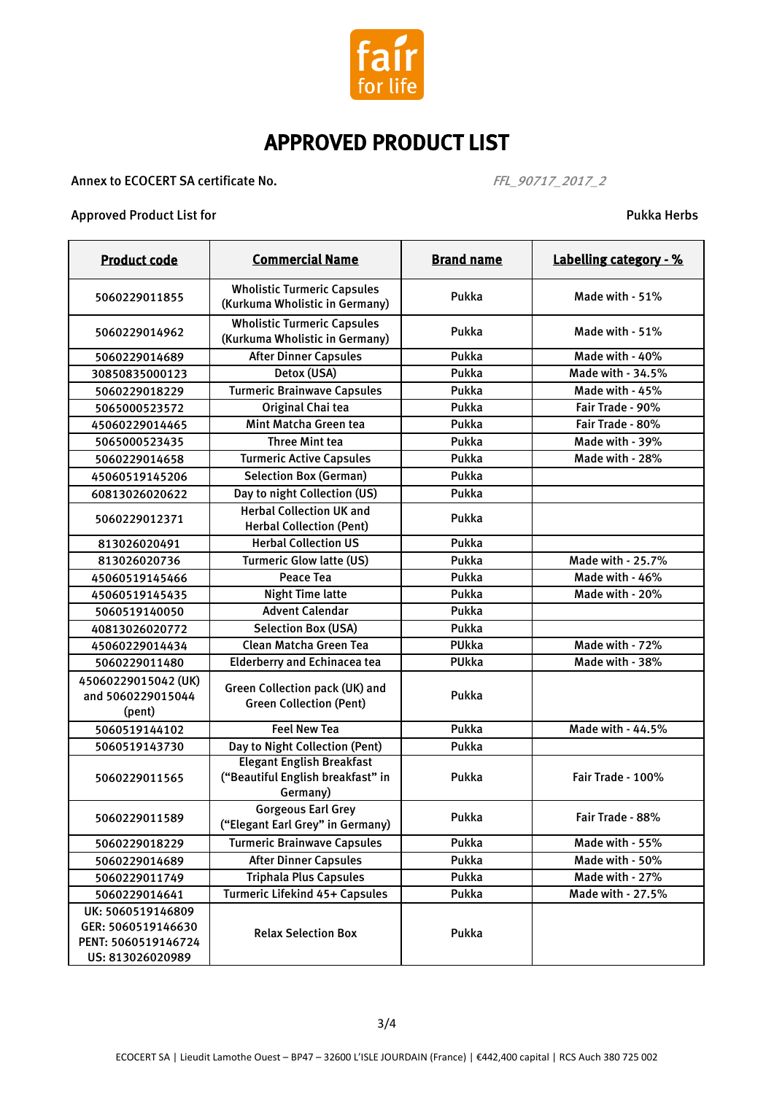

#### Annex to ECOCERT SA certificate No.  $FFL\_90717\_2017\_2$

#### Approved Product List for Pukka Herbs

| <b>Product code</b>                                                                | <b>Commercial Name</b>                                                            | <b>Brand name</b> | Labelling category - % |
|------------------------------------------------------------------------------------|-----------------------------------------------------------------------------------|-------------------|------------------------|
| 5060229011855                                                                      | <b>Wholistic Turmeric Capsules</b><br>(Kurkuma Wholistic in Germany)              | Pukka             | Made with - 51%        |
| 5060229014962                                                                      | <b>Wholistic Turmeric Capsules</b><br>(Kurkuma Wholistic in Germany)              | Pukka             | Made with - 51%        |
| 5060229014689                                                                      | <b>After Dinner Capsules</b>                                                      | Pukka             | Made with - 40%        |
| 30850835000123                                                                     | Detox (USA)                                                                       | Pukka             | Made with - 34.5%      |
| 5060229018229                                                                      | <b>Turmeric Brainwave Capsules</b>                                                | Pukka             | Made with - 45%        |
| 5065000523572                                                                      | Original Chai tea                                                                 | Pukka             | Fair Trade - 90%       |
| 45060229014465                                                                     | Mint Matcha Green tea                                                             | Pukka             | Fair Trade - 80%       |
| 5065000523435                                                                      | <b>Three Mint tea</b>                                                             | Pukka             | Made with - 39%        |
| 5060229014658                                                                      | <b>Turmeric Active Capsules</b>                                                   | Pukka             | Made with - 28%        |
| 45060519145206                                                                     | <b>Selection Box (German)</b>                                                     | Pukka             |                        |
| 60813026020622                                                                     | Day to night Collection (US)                                                      | Pukka             |                        |
| 5060229012371                                                                      | <b>Herbal Collection UK and</b><br><b>Herbal Collection (Pent)</b>                | Pukka             |                        |
| 813026020491                                                                       | <b>Herbal Collection US</b>                                                       | Pukka             |                        |
| 813026020736                                                                       | <b>Turmeric Glow latte (US)</b>                                                   | Pukka             | Made with - 25.7%      |
| 45060519145466                                                                     | <b>Peace Tea</b>                                                                  | Pukka             | Made with - 46%        |
| 45060519145435                                                                     | <b>Night Time latte</b>                                                           | Pukka             | Made with - 20%        |
| 5060519140050                                                                      | <b>Advent Calendar</b>                                                            | Pukka             |                        |
| 40813026020772                                                                     | <b>Selection Box (USA)</b>                                                        | Pukka             |                        |
| 45060229014434                                                                     | Clean Matcha Green Tea                                                            | PUkka             | Made with - 72%        |
| 5060229011480                                                                      | <b>Elderberry and Echinacea tea</b>                                               | PUkka             | Made with - 38%        |
| 45060229015042 (UK)<br>and 5060229015044<br>(pent)                                 | Green Collection pack (UK) and<br><b>Green Collection (Pent)</b>                  | Pukka             |                        |
| 5060519144102                                                                      | <b>Feel New Tea</b>                                                               | Pukka             | Made with - 44.5%      |
| 5060519143730                                                                      | Day to Night Collection (Pent)                                                    | Pukka             |                        |
| 5060229011565                                                                      | <b>Elegant English Breakfast</b><br>("Beautiful English breakfast" in<br>Germany) | Pukka             | Fair Trade - 100%      |
| 5060229011589                                                                      | <b>Gorgeous Earl Grey</b><br>("Elegant Earl Grey" in Germany)                     | Pukka             | Fair Trade - 88%       |
| 5060229018229                                                                      | <b>Turmeric Brainwave Capsules</b>                                                | Pukka             | Made with - 55%        |
| 5060229014689                                                                      | <b>After Dinner Capsules</b>                                                      | Pukka             | Made with - 50%        |
| 5060229011749                                                                      | <b>Triphala Plus Capsules</b>                                                     | Pukka             | Made with - 27%        |
| 5060229014641                                                                      | Turmeric Lifekind 45+ Capsules                                                    | Pukka             | Made with - 27.5%      |
| UK: 5060519146809<br>GER: 5060519146630<br>PENT: 5060519146724<br>US: 813026020989 | <b>Relax Selection Box</b>                                                        | Pukka             |                        |